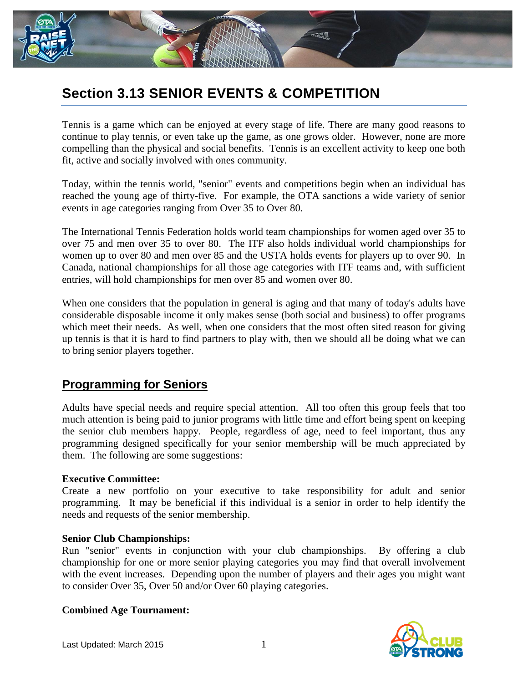

# **Section 3.13 SENIOR EVENTS & COMPETITION**

Tennis is a game which can be enjoyed at every stage of life. There are many good reasons to continue to play tennis, or even take up the game, as one grows older. However, none are more compelling than the physical and social benefits. Tennis is an excellent activity to keep one both fit, active and socially involved with ones community.

Today, within the tennis world, "senior" events and competitions begin when an individual has reached the young age of thirty-five. For example, the OTA sanctions a wide variety of senior events in age categories ranging from Over 35 to Over 80.

The International Tennis Federation holds world team championships for women aged over 35 to over 75 and men over 35 to over 80. The ITF also holds individual world championships for women up to over 80 and men over 85 and the USTA holds events for players up to over 90. In Canada, national championships for all those age categories with ITF teams and, with sufficient entries, will hold championships for men over 85 and women over 80.

When one considers that the population in general is aging and that many of today's adults have considerable disposable income it only makes sense (both social and business) to offer programs which meet their needs. As well, when one considers that the most often sited reason for giving up tennis is that it is hard to find partners to play with, then we should all be doing what we can to bring senior players together.

# **Programming for Seniors**

Adults have special needs and require special attention. All too often this group feels that too much attention is being paid to junior programs with little time and effort being spent on keeping the senior club members happy. People, regardless of age, need to feel important, thus any programming designed specifically for your senior membership will be much appreciated by them. The following are some suggestions:

# **Executive Committee:**

Create a new portfolio on your executive to take responsibility for adult and senior programming. It may be beneficial if this individual is a senior in order to help identify the needs and requests of the senior membership.

# **Senior Club Championships:**

Run "senior" events in conjunction with your club championships. By offering a club championship for one or more senior playing categories you may find that overall involvement with the event increases. Depending upon the number of players and their ages you might want to consider Over 35, Over 50 and/or Over 60 playing categories.

# **Combined Age Tournament:**

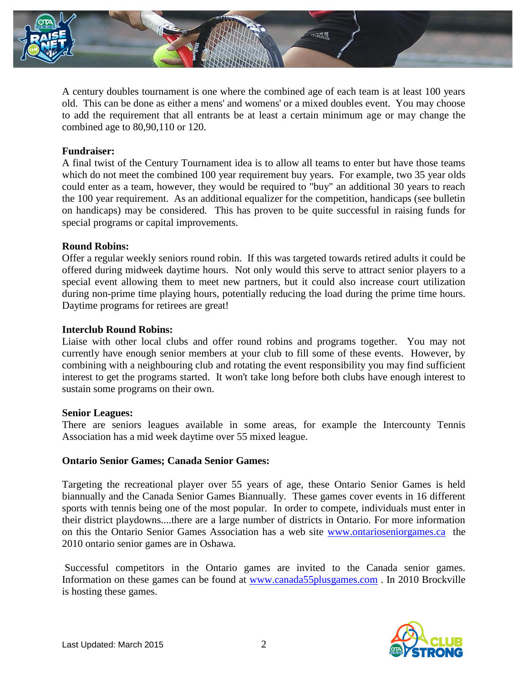

A century doubles tournament is one where the combined age of each team is at least 100 years old. This can be done as either a mens' and womens' or a mixed doubles event. You may choose to add the requirement that all entrants be at least a certain minimum age or may change the combined age to 80,90,110 or 120.

# **Fundraiser:**

A final twist of the Century Tournament idea is to allow all teams to enter but have those teams which do not meet the combined 100 year requirement buy years. For example, two 35 year olds could enter as a team, however, they would be required to "buy" an additional 30 years to reach the 100 year requirement. As an additional equalizer for the competition, handicaps (see bulletin on handicaps) may be considered. This has proven to be quite successful in raising funds for special programs or capital improvements.

#### **Round Robins:**

Offer a regular weekly seniors round robin. If this was targeted towards retired adults it could be offered during midweek daytime hours. Not only would this serve to attract senior players to a special event allowing them to meet new partners, but it could also increase court utilization during non-prime time playing hours, potentially reducing the load during the prime time hours. Daytime programs for retirees are great!

#### **Interclub Round Robins:**

Liaise with other local clubs and offer round robins and programs together. You may not currently have enough senior members at your club to fill some of these events. However, by combining with a neighbouring club and rotating the event responsibility you may find sufficient interest to get the programs started. It won't take long before both clubs have enough interest to sustain some programs on their own.

#### **Senior Leagues:**

There are seniors leagues available in some areas, for example the Intercounty Tennis Association has a mid week daytime over 55 mixed league.

#### **Ontario Senior Games; Canada Senior Games:**

Targeting the recreational player over 55 years of age, these Ontario Senior Games is held biannually and the Canada Senior Games Biannually. These games cover events in 16 different sports with tennis being one of the most popular. In order to compete, individuals must enter in their district playdowns....there are a large number of districts in Ontario. For more information on this the Ontario Senior Games Association has a web site [www.ontarioseniorgames.ca](http://www.ontarioseniorgames.ca/) the 2010 ontario senior games are in Oshawa.

Successful competitors in the Ontario games are invited to the Canada senior games. Information on these games can be found at [www.canada55plusgames.com](http://www.canada55plusgames.com/) . In 2010 Brockville is hosting these games.

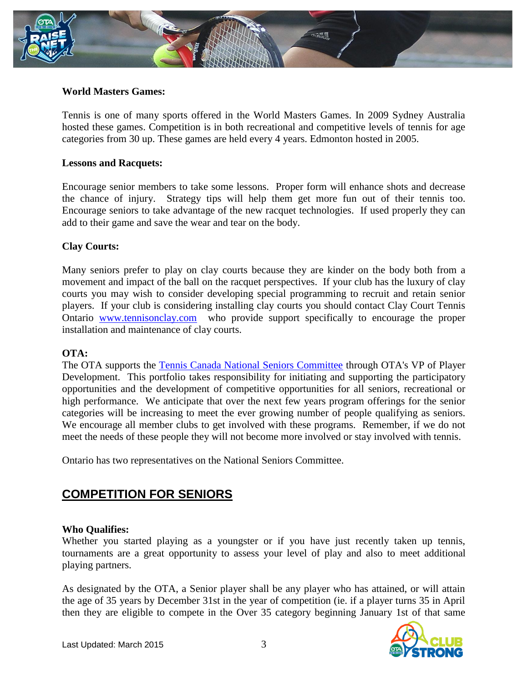

# **World Masters Games:**

Tennis is one of many sports offered in the World Masters Games. In 2009 Sydney Australia hosted these games. Competition is in both recreational and competitive levels of tennis for age categories from 30 up. These games are held every 4 years. Edmonton hosted in 2005.

#### **Lessons and Racquets:**

Encourage senior members to take some lessons. Proper form will enhance shots and decrease the chance of injury. Strategy tips will help them get more fun out of their tennis too. Encourage seniors to take advantage of the new racquet technologies. If used properly they can add to their game and save the wear and tear on the body.

# **Clay Courts:**

Many seniors prefer to play on clay courts because they are kinder on the body both from a movement and impact of the ball on the racquet perspectives. If your club has the luxury of clay courts you may wish to consider developing special programming to recruit and retain senior players. If your club is considering installing clay courts you should contact Clay Court Tennis Ontario [www.tennisonclay.com](http://www.tennisonclay.com/) who provide support specifically to encourage the proper installation and maintenance of clay courts.

#### **OTA:**

The OTA supports the [Tennis Canada National Seniors Committee](http://www.tenniscanada.com/index.php?title=national-seniors-tennis-committee&pid=146) through OTA's VP of Player Development. This portfolio takes responsibility for initiating and supporting the participatory opportunities and the development of competitive opportunities for all seniors, recreational or high performance. We anticipate that over the next few years program offerings for the senior categories will be increasing to meet the ever growing number of people qualifying as seniors. We encourage all member clubs to get involved with these programs. Remember, if we do not meet the needs of these people they will not become more involved or stay involved with tennis.

Ontario has two representatives on the National Seniors Committee.

# **COMPETITION FOR SENIORS**

# **Who Qualifies:**

Whether you started playing as a youngster or if you have just recently taken up tennis, tournaments are a great opportunity to assess your level of play and also to meet additional playing partners.

As designated by the OTA, a Senior player shall be any player who has attained, or will attain the age of 35 years by December 31st in the year of competition (ie. if a player turns 35 in April then they are eligible to compete in the Over 35 category beginning January 1st of that same